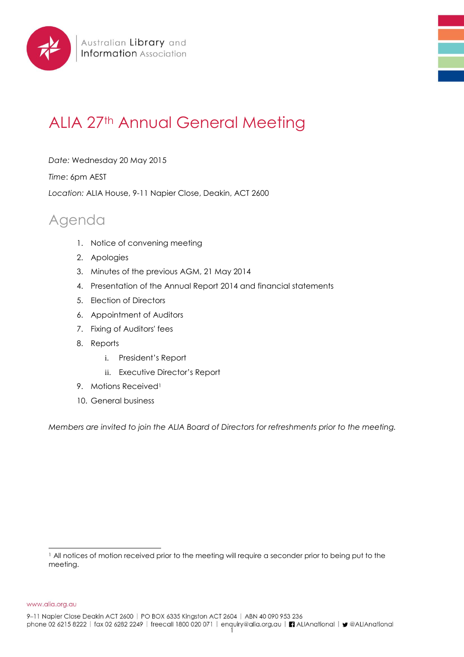

## ALIA 27th Annual General Meeting

*Date:* Wednesday 20 May 2015

*Time*: 6pm AEST

*Location:* ALIA House, 9-11 Napier Close, Deakin, ACT 2600

## Agenda

- 1. Notice of convening meeting
- 2. Apologies
- 3. Minutes of the previous AGM, 21 May 2014
- 4. Presentation of the Annual Report 2014 and financial statements
- 5. Election of Directors
- 6. Appointment of Auditors
- 7. Fixing of Auditors' fees
- 8. Reports
	- i. President's Report
	- ii. Executive Director's Report
- 9. Motions Received<sup>1</sup>
- 10. General business

*Members are invited to join the ALIA Board of Directors for refreshments prior to the meeting.* 

www.alia.org.au

l <sup>1</sup> All notices of motion received prior to the meeting will require a seconder prior to being put to the meeting.